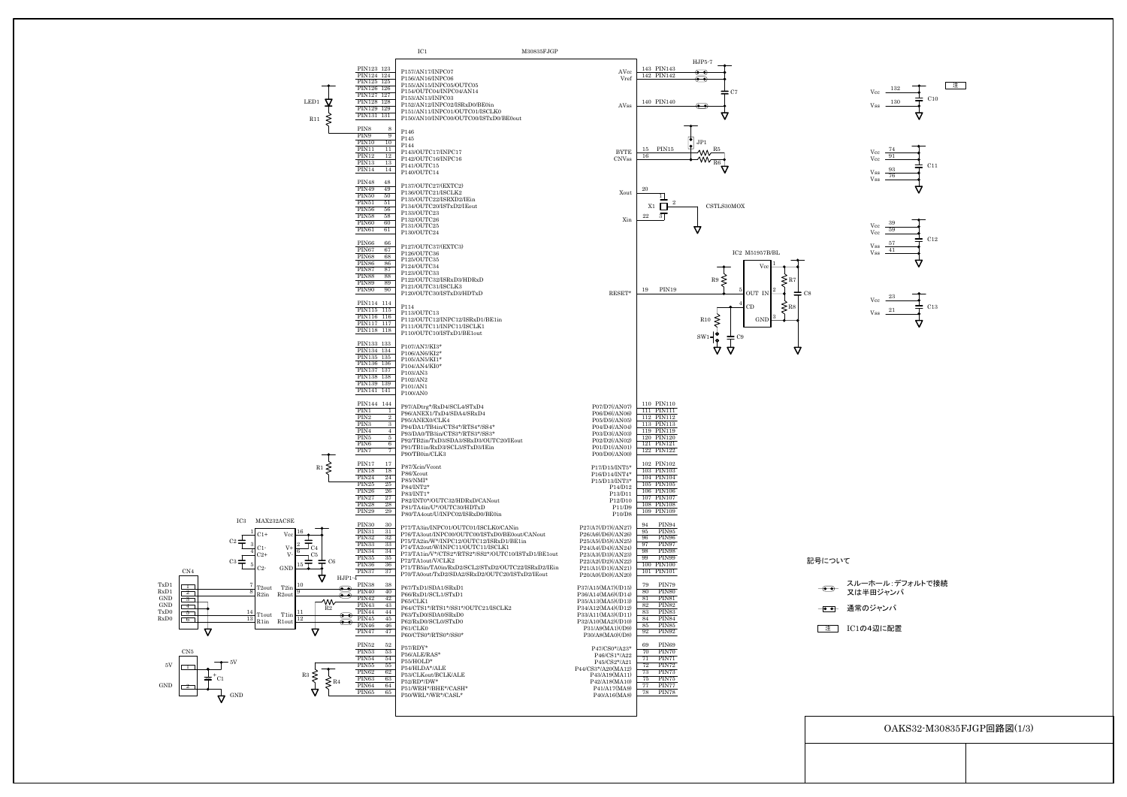OAKS32-M30835FJGP回路図(1/3)

├●● 通常のジャンパ スルーホール:デフォルトで接続 又は半田ジャンパ

**■注 コ** IC1の4辺に配置





 $V_{\rm{ss}}$   $\frac{21}{2}$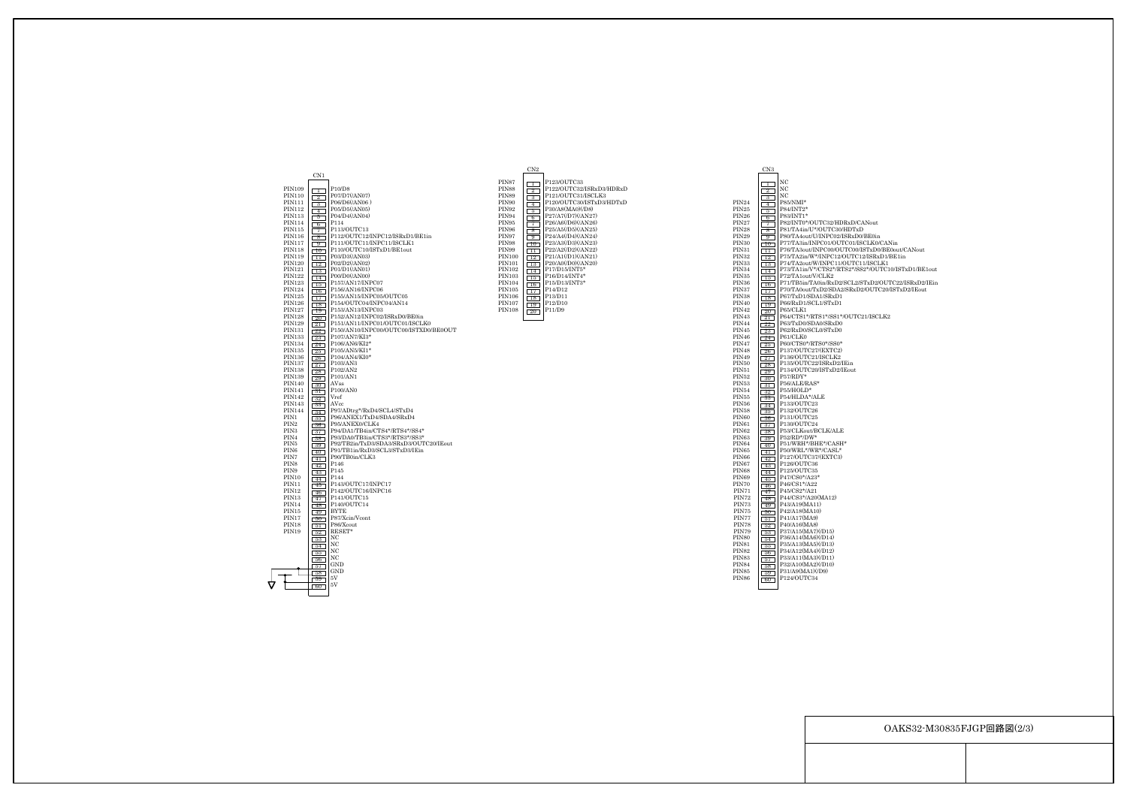## OAKS32-M30835FJGP回路図(2/3)

|                                | CN1                                     |                                                  |
|--------------------------------|-----------------------------------------|--------------------------------------------------|
| PIN109                         | T                                       | P10/D8                                           |
| <b>PIN110</b>                  | $\mathbf{2}$<br>Г                       | P07/D7(/AN07)                                    |
| <b>PIN111</b>                  | $\overline{\mathbf{3}}$<br>L            | P06/D6(/AN06)                                    |
| <b>PIN112</b>                  | $-4$                                    | P05/D5(/AN05)                                    |
| PIN113                         | 5<br>Г                                  | P04/D4(/AN04)                                    |
| <b>PIN114</b>                  | $\Box$ 6                                | P114                                             |
| PIN115<br>PIN116               | 7                                       | P113/OUTC13<br>P112/OUTC12/INPC12/ISRxD1/BE1in   |
| PIN117                         | 8<br>Ľ<br>$\Box$ 9                      | P111/OUTC11/INPC11/ISCLK1                        |
| <b>PIN118</b>                  | $\Box 0$                                | P110/OUTC10/ISTxD1/BE1out                        |
| PIN119                         | $11\overline{ }$<br>Г                   | P03/D3(/AN03)                                    |
| <b>PIN120</b>                  | $\Box 2$                                | P02/D2(/AN02)                                    |
| <b>PIN121</b>                  | 13                                      | P01/D1(/AN01)                                    |
| <b>PIN122</b>                  | 14 1<br>Г                               | P00/D0(/AN00)                                    |
| <b>PIN123</b><br><b>PIN124</b> | $\Box$ 5                                | P157/AN17/INPC07<br>P156/AN16/INPC06             |
| PIN125                         | $\Box 6$                                | P155/AN15/INPC05/OUTC05                          |
| PIN126                         | 17 <sub>1</sub><br>Н<br>$\Box$ 8        | P154/OUTC04/INPC04/AN14                          |
| <b>PIN127</b>                  | 19                                      | P153/AN13/INPC03                                 |
| <b>PIN128</b>                  | 20 <sub>1</sub><br>Г                    | P152/AN12/INPC02/ISRxD0/BE0in                    |
| PIN129                         | $\boxed{21}$                            | P151/AN11/INPC01/OUTC01/ISCLK0                   |
| <b>PIN131</b>                  | $\sqrt{22}$                             | P150/AN10/INPC00/OUTC00/ISTXD0/BE0OUT            |
| PIN133                         | $\sqrt{23}$                             | P107/AN7/KI3*<br>P106/AN6/KI2*                   |
| PIN134<br>PIN135               | $\sqrt{24}$                             | P105/AN5/KI1*                                    |
| PIN136                         | 25 <sub>1</sub><br>26 <sub>1</sub><br>Е | P104/AN4/KI0*                                    |
| <b>PIN137</b>                  | $\sqrt{27}$                             | P103/AN3                                         |
| <b>PIN138</b>                  | $\Box$ 28                               | P <sub>102</sub> /AN <sub>2</sub>                |
| PIN139                         | $\Box$ 29                               | P <sub>101</sub> /AN <sub>1</sub>                |
| PIN140                         | 30                                      | AVss                                             |
| PIN141                         | 31 T                                    | P100/AN0                                         |
| PIN142<br>PIN143               | 32<br>Г                                 | Vref<br>AVcc                                     |
| <b>PIN144</b>                  |                                         | P97/ADtrg*/RxD4/SCL4/STxD4                       |
| PIN1                           | $\sqrt{34}$<br>35                       | P96/ANEX1/TxD4/SDA4/SRxD4                        |
| PIN <sub>2</sub>               | $\Box$ 36                               | P95/ANEX0/CLK4                                   |
| PIN <sub>3</sub>               | $\Box$ 37 $\Box$                        | P94/DA1/TB4in/CTS4*/RTS4*/SS4*                   |
| PIN4                           | $\Box$ 38                               | P93/DA0/TB3in/CTS3*/RTS3*/SS3*                   |
| PIN <sub>5</sub>               | $\boxed{39}$                            | P92/TB2in/TxD3/SDA3/SRxD3/OUTC20/IEout           |
| PIN <sub>6</sub><br>PIN7       | $\Box$ 40                               | P91/TB1in/RxD3/SCL3/STxD3/IEin<br>P90/TB0in/CLK3 |
| PIN <sub>8</sub>               | $\lceil 41 \rceil$                      | P146                                             |
| PIN9                           | $\sqrt{42}$<br>43 1<br>Г                | P145                                             |
| PIN <sub>10</sub>              | 44<br>Г                                 | P144                                             |
| PIN11                          | $\lceil 45 \rceil$                      | P143/OUTC17/INPC17                               |
| PIN <sub>12</sub>              | $\sqrt{46}$                             | P142/OUTC16/INPC16                               |
| PIN <sub>13</sub>              | 47<br>Г                                 | P141/OUTC15                                      |
| PIN14                          | $\lceil 48 \rceil$                      | P140/OUTC14                                      |
| PIN15<br>PIN17                 | 49 I<br>Г                               | BYTE<br>P87/Xcin/Vcont                           |
| <b>PIN18</b>                   | 50 <sub>1</sub><br>$\lceil 51 \rceil$   | P86/Xcout                                        |
| PIN19                          | 52                                      | RESET*                                           |
|                                | 53                                      | NC                                               |
|                                | 54                                      | NC                                               |
|                                | 55                                      | NC                                               |
|                                | $\sqrt{56}$                             | NC                                               |
|                                | 57                                      | GND<br><b>GND</b>                                |
|                                | $\sqrt{58}$<br>$\sqrt{59}$              | 5V                                               |
|                                | $60-$                                   | 5V                                               |
|                                |                                         |                                                  |
|                                |                                         |                                                  |

|                   | CN3                               |                                  |
|-------------------|-----------------------------------|----------------------------------|
|                   | T<br>L                            | NC                               |
|                   | $^{2}$<br>L                       | NC                               |
|                   | $\Box$ 3<br>L                     | NC.                              |
| PIN <sub>24</sub> | 4<br>г<br>┑                       | P85/NMI*                         |
| PIN <sub>25</sub> | $\overline{5}$<br>┑<br>Г          | P84/INT2*                        |
| PIN <sub>26</sub> | $\Box$ 6<br>J                     | P83/INT1*                        |
| PIN27             | 7<br>ſ<br>ı                       | P82/INT0*/OUTC32/HDRxD/CANout    |
| PIN28             | $\overline{\mathbf{8}}$<br>I<br>ı | P81/TA4in/U*/OUTC30/HDTxD        |
| PIN29             | 9<br>L                            | P80/TA4out/U/INPC02/ISRxD0/BE0in |
| PIN30             | $\Box 0$                          | P77/TA3in/INPC01/OUTC01/ISCLK0/  |
| PIN31             | 11<br>٦<br>ſ                      | P76/TA3out/INPC00/OUTC00/ISTxD0  |
| PIN32             | $\Box$ 2                          | P75/TA2in/W*/INPC12/OUTC12/ISRx  |
| PIN33             | 13 1<br>ſ                         | P74/TA2out/W/INPC11/OUTC11/ISCI  |
| PIN34             | 14<br>Г                           | P73/TA1in/V*/CTS2*/RTS2*/SS2*/OU |
| PIN35             | 15  <br>L                         | P72/TA1out/V/CLK2                |
| PIN36             | 16 <sub>1</sub><br>Г              | P71/TB5in/TA0in/RxD2/SCL2/STxD2/ |
| PIN37             | 17 <sub>1</sub>                   | P70/TA0out/TxD2/SDA2/SRxD2/OUT0  |
| PIN38             | 18 1<br>Ш                         | P67/TxD1/SDA1/SRxD1              |
| PIN40             | 19  <br>ſ                         | P66/RxD1/SCL1/STxD1              |
| PIN42             | $\Box$ 20                         | P65/CLK1                         |
| PIN43             | $\Box$<br>┐                       | P64/CTS1*/RTS1*/SS1*/OUTC21/ISC  |
| PIN44             | $\sqrt{22}$                       | P63/TxD0/SDA0/SRxD0              |
| PIN45             | 23 1<br>Г                         | P62/RxD0/SCL0/STxD0              |
| PIN46             | 24 1                              | P61/CLK0<br>P60/CTS0*/RTS0*/SS0* |
| PIN47<br>PIN48    | 25                                | P137/OUTC27/(EXTC2)              |
| PIN49             | $\Box$ 26                         | P136/OUTC21/ISCLK2               |
| PIN50             | 27                                | P135/OUTC22/ISRxD2/IEin          |
| PIN51             | $28-1$<br>L                       | P134/OUTC20/ISTxD2/IEout         |
| PIN52             | $\boxed{29}$                      | P57/RDY*                         |
| PIN53             | $\Box$ 30<br>31                   | P56/ALE/RAS*                     |
| PIN54             | 32 <sub>1</sub>                   | P55/HOLD*                        |
| PIN55             | -33<br>┐<br>Г                     | P54/HLDA*/ALE                    |
| PIN56             | 34                                | P133/OUTC23                      |
| PIN58             | 35                                | P132/OUTC26                      |
| PIN60             | $\Box$ 36                         | P131/OUTC25                      |
| PIN61             | $\Box$                            | P130/OUTC24                      |
| PIN62             | $\Box$ 38 $\Box$                  | P53/CLKout/BCLK/ALE              |
| PIN63             | 39                                | P52/RD*/DW*                      |
| PIN64             | $\Box$ 40                         | P51/WRH*/BHE*/CASH*              |
| PIN65             | $\lceil 41 \rceil$                | P50/WRL*/WR*/CASL*               |
| PIN66             | 42<br>г                           | P127/OUTC37/(EXTC3)              |
| PIN67             | 43                                | P126/OUTC36                      |
| PIN68             | $\Box$ 44<br>i i                  | P125/OUTC35                      |
| PIN69             | $\boxed{45}$                      | P47/CS0*/A23*                    |
| PIN70             | $-46$                             | P46/CS1*/A22<br>P45/CS2*/A21     |
| PIN71<br>PIN72    | 47                                | P44/CS3*/A20(MA12)               |
| PIN73             | 48 I<br>ı                         | P43/A19(MA11)                    |
| PIN75             | $\boxed{49}$                      | P42/A18(MA10)                    |
| PIN77             | $\sqrt{50}$<br>51                 | P41/A17(MA9)                     |
| PIN78             | ┒<br>Ш                            | P40/A16(MA8)                     |
| PIN79             | $\sqrt{52}$<br>53                 | P37/A15(MA7)(/D15)               |
| PIN80             | 54<br>ı                           | P36/A14(MA6)(/D14)               |
| PIN81             | 55<br>Ш                           | P35/A13(MA5)(/D13)               |
| PIN82             | $\Box$ 56                         | P34/A12(MA4)(/D12)               |
| PIN83             | 57                                | P33/A11(MA3)(/D11)               |
| PIN84             | $\sqrt{58}$                       | P32/A10(MA2)(/D10)               |
| PIN85             | 59<br>Ш                           | P31/A9(MA1)(/D9)                 |
| PIN86             | $-60-$                            | P124/OUTC34                      |
|                   |                                   |                                  |
|                   |                                   |                                  |

P77/TA3in/INPC01/OUTC01/ISCLK0/CANin<br>P76/TA3out/INPC00/OUTC00/ISTxD0/BE0out/CANout<br>P75/TA2in/W\*/INPC12/OUTC11/ISCLK1<br>P74/TA2out/W/INPC11/OUTC11/ISCLK1<br>P73/TA1in/V\*/CTS2\*/RTS2\*/SS2\*/OUTC10/ISTxD1/BE1out



P71/TB5in/TA0in/RxD2/SCL2/STxD2/OUTC22/ISRxD2/IEin P70/TA0out/TxD2/SDA2/SRxD2/OUTC20/ISTxD2/IEout

 $*$ /OUTC21/ISCLK2